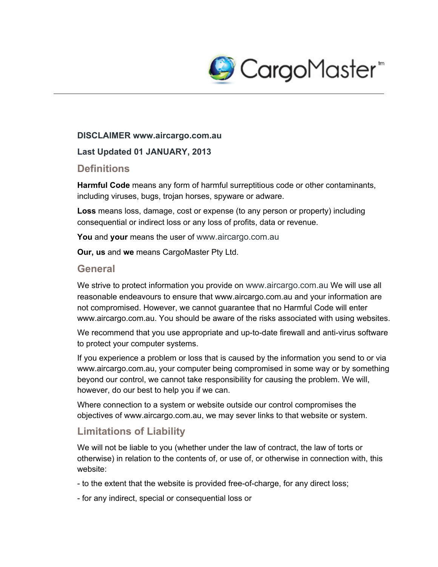

#### **DISCLAIMER www.aircargo.com.au**

#### **Last Updated 01 JANUARY, 2013**

### **Definitions**

**Harmful Code** means any form of harmful surreptitious code or other contaminants, including viruses, bugs, trojan horses, spyware or adware.

**Loss** means loss, damage, cost or expense (to any person or property) including consequential or indirect loss or any loss of profits, data or revenue.

**You** and **your** means the user of www.aircargo.com.au

**Our, us** and **we** means CargoMaster Pty Ltd.

#### **General**

We strive to protect information you provide on www.aircargo.com.au We will use all reasonable endeavours to ensure that www.aircargo.com.au and your information are not compromised. However, we cannot guarantee that no Harmful Code will enter www.aircargo.com.au. You should be aware of the risks associated with using websites.

We recommend that you use appropriate and up-to-date firewall and anti-virus software to protect your computer systems.

If you experience a problem or loss that is caused by the information you send to or via www.aircargo.com.au, your computer being compromised in some way or by something beyond our control, we cannot take responsibility for causing the problem. We will, however, do our best to help you if we can.

Where connection to a system or website outside our control compromises the objectives of www.aircargo.com.au, we may sever links to that website or system.

## **Limitations of Liability**

We will not be liable to you (whether under the law of contract, the law of torts or otherwise) in relation to the contents of, or use of, or otherwise in connection with, this website:

- to the extent that the website is provided free-of-charge, for any direct loss;

for any indirect, special or consequential loss or